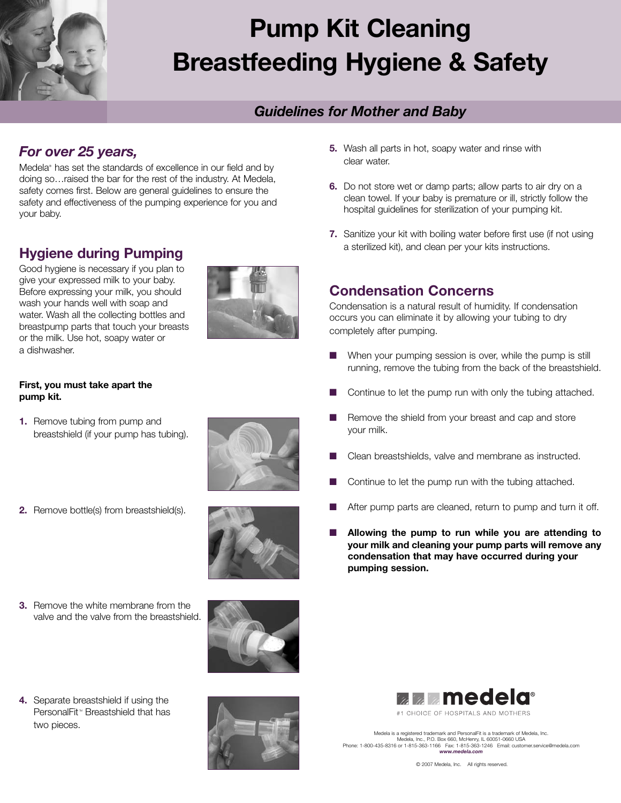

# **Pump Kit Cleaning Breastfeeding Hygiene & Safety**

### *Guidelines for Mother and Baby*

### *For over 25 years,*

Medela<sup>®</sup> has set the standards of excellence in our field and by doing so…raised the bar for the rest of the industry. At Medela, safety comes first. Below are general guidelines to ensure the safety and effectiveness of the pumping experience for you and your baby.

## **Hygiene during Pumping**

Good hygiene is necessary if you plan to give your expressed milk to your baby. Before expressing your milk, you should wash your hands well with soap and water. Wash all the collecting bottles and breastpump parts that touch your breasts or the milk. Use hot, soapy water or a dishwasher.



### **First, you must take apart the pump kit.**

**1.** Remove tubing from pump and breastshield (if your pump has tubing).



**2.** Remove bottle(s) from breastshield(s).



**3.** Remove the white membrane from the valve and the valve from the breastshield.



**4.** Separate breastshield if using the PersonalFit<sup>\*</sup> Breastshield that has two pieces.



- **5.** Wash all parts in hot, soapy water and rinse with clear water.
- **6.** Do not store wet or damp parts; allow parts to air dry on a clean towel. If your baby is premature or ill, strictly follow the hospital guidelines for sterilization of your pumping kit.
- **7.** Sanitize your kit with boiling water before first use (if not using a sterilized kit), and clean per your kits instructions.

### **Condensation Concerns**

Condensation is a natural result of humidity. If condensation occurs you can eliminate it by allowing your tubing to dry completely after pumping.

- When your pumping session is over, while the pump is still running, remove the tubing from the back of the breastshield.
- Continue to let the pump run with only the tubing attached.
- Remove the shield from your breast and cap and store your milk.
- **■** Clean breastshields, valve and membrane as instructed.
- Continue to let the pump run with the tubing attached.
- After pump parts are cleaned, return to pump and turn it off.
- **■ Allowing the pump to run while you are attending to your milk and cleaning your pump parts will remove any condensation that may have occurred during your pumping session.**



Medela is a registered trademark and PersonalFit is a trademark of Medela, Inc.<br>Medela, Inc., P.O. Box 660, McHenny, IL 60051-0660 USA<br>Phone: 1-800-435-8316 or 1-815-363-1166 Fax: 1-815-363-1246 Email: customer.service@med *www.medela.com*